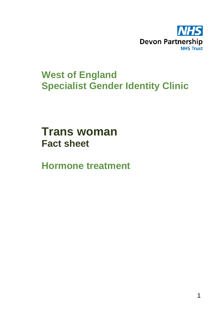

# **West of England Specialist Gender Identity Clinic**

**Trans woman Fact sheet** 

**Hormone treatment**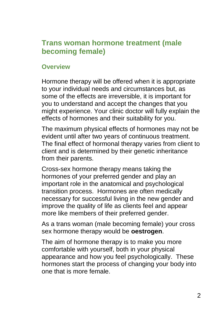## **Trans woman hormone treatment (male becoming female)**

### **Overview**

Hormone therapy will be offered when it is appropriate to your individual needs and circumstances but, as some of the effects are irreversible, it is important for you to understand and accept the changes that you might experience. Your clinic doctor will fully explain the effects of hormones and their suitability for you.

The maximum physical effects of hormones may not be evident until after two years of continuous treatment. The final effect of hormonal therapy varies from client to client and is determined by their genetic inheritance from their parents.

Cross-sex hormone therapy means taking the hormones of your preferred gender and play an important role in the anatomical and psychological transition process. Hormones are often medically necessary for successful living in the new gender and improve the quality of life as clients feel and appear more like members of their preferred gender.

As a trans woman (male becoming female) your cross sex hormone therapy would be **oestrogen**.

The aim of hormone therapy is to make you more comfortable with yourself, both in your physical appearance and how you feel psychologically. These hormones start the process of changing your body into one that is more female.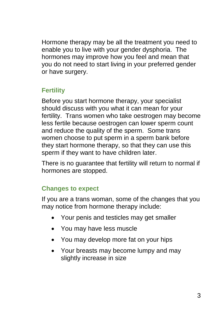Hormone therapy may be all the treatment you need to enable you to live with your gender dysphoria. The hormones may improve how you feel and mean that you do not need to start living in your preferred gender or have surgery.

## **Fertility**

Before you start hormone therapy, your specialist should discuss with you what it can mean for your fertility. Trans women who take oestrogen may become less fertile because oestrogen can lower sperm count and reduce the quality of the sperm. Some trans women choose to put sperm in a sperm bank before they start hormone therapy, so that they can use this sperm if they want to have children later.

There is no guarantee that fertility will return to normal if hormones are stopped.

## **Changes to expect**

If you are a trans woman, some of the changes that you may notice from hormone therapy include:

- Your penis and testicles may get smaller
- You may have less muscle
- You may develop more fat on your hips
- Your breasts may become lumpy and may slightly increase in size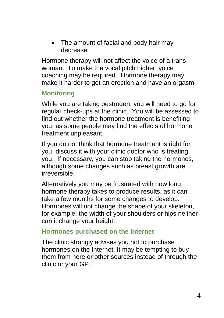• The amount of facial and body hair may decrease

Hormone therapy will not affect the voice of a trans woman. To make the vocal pitch higher, voice coaching may be required. Hormone therapy may make it harder to get an erection and have an orgasm.

## **Monitoring**

While you are taking oestrogen, you will need to go for regular check-ups at the clinic. You will be assessed to find out whether the hormone treatment is benefiting you, as some people may find the effects of hormone treatment unpleasant.

If you do not think that hormone treatment is right for you, discuss it with your clinic doctor who is treating you. If necessary, you can stop taking the hormones, although some changes such as breast growth are irreversible.

Alternatively you may be frustrated with how long hormone therapy takes to produce results, as it can take a few months for some changes to develop. Hormones will not change the shape of your skeleton, for example, the width of your shoulders or hips neither can it change your height.

#### **Hormones purchased on the Internet**

The clinic strongly advises you not to purchase hormones on the Internet. It may be tempting to buy them from here or other sources instead of through the clinic or your GP.